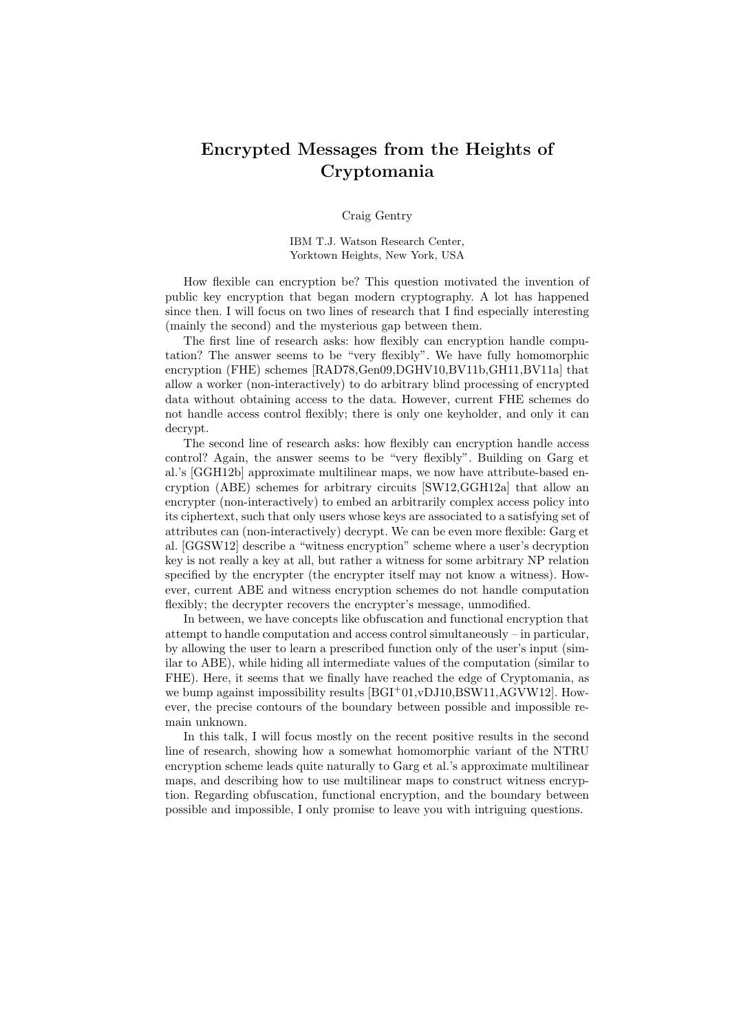## Encrypted Messages from the Heights of Cryptomania

Craig Gentry

IBM T.J. Watson Research Center, Yorktown Heights, New York, USA

How flexible can encryption be? This question motivated the invention of public key encryption that began modern cryptography. A lot has happened since then. I will focus on two lines of research that I find especially interesting (mainly the second) and the mysterious gap between them.

The first line of research asks: how flexibly can encryption handle computation? The answer seems to be "very flexibly". We have fully homomorphic encryption (FHE) schemes [RAD78,Gen09,DGHV10,BV11b,GH11,BV11a] that allow a worker (non-interactively) to do arbitrary blind processing of encrypted data without obtaining access to the data. However, current FHE schemes do not handle access control flexibly; there is only one keyholder, and only it can decrypt.

The second line of research asks: how flexibly can encryption handle access control? Again, the answer seems to be "very flexibly". Building on Garg et al.'s [GGH12b] approximate multilinear maps, we now have attribute-based encryption (ABE) schemes for arbitrary circuits [SW12,GGH12a] that allow an encrypter (non-interactively) to embed an arbitrarily complex access policy into its ciphertext, such that only users whose keys are associated to a satisfying set of attributes can (non-interactively) decrypt. We can be even more flexible: Garg et al. [GGSW12] describe a "witness encryption" scheme where a user's decryption key is not really a key at all, but rather a witness for some arbitrary NP relation specified by the encrypter (the encrypter itself may not know a witness). However, current ABE and witness encryption schemes do not handle computation flexibly; the decrypter recovers the encrypter's message, unmodified.

In between, we have concepts like obfuscation and functional encryption that attempt to handle computation and access control simultaneously – in particular, by allowing the user to learn a prescribed function only of the user's input (similar to ABE), while hiding all intermediate values of the computation (similar to FHE). Here, it seems that we finally have reached the edge of Cryptomania, as we bump against impossibility results [BGI<sup>+</sup>01,vDJ10,BSW11,AGVW12]. However, the precise contours of the boundary between possible and impossible remain unknown.

In this talk, I will focus mostly on the recent positive results in the second line of research, showing how a somewhat homomorphic variant of the NTRU encryption scheme leads quite naturally to Garg et al.'s approximate multilinear maps, and describing how to use multilinear maps to construct witness encryption. Regarding obfuscation, functional encryption, and the boundary between possible and impossible, I only promise to leave you with intriguing questions.